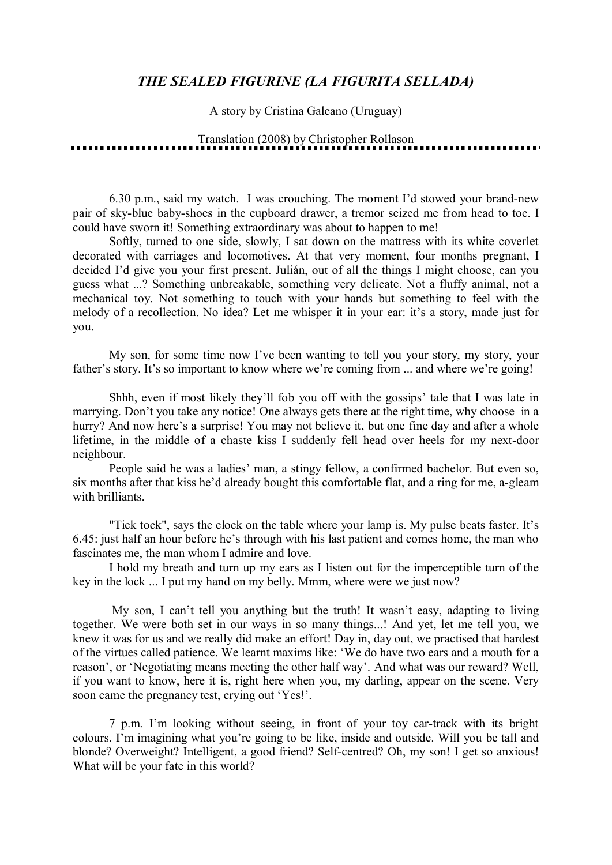## *THE SEALED FIGURINE (LA FIGURITA SELLADA)*

A story by Cristina Galeano (Uruguay)

Translation (2008) by Christopher Rollason

6.30 p.m., said my watch. I was crouching. The moment I'd stowed your brand-new pair of sky-blue baby-shoes in the cupboard drawer, a tremor seized me from head to toe. I could have sworn it! Something extraordinary was about to happen to me!

Softly, turned to one side, slowly, I sat down on the mattress with its white coverlet decorated with carriages and locomotives. At that very moment, four months pregnant, I decided I'd give you your first present. Julián, out of all the things I might choose, can you guess what ...? Something unbreakable, something very delicate. Not a fluffy animal, not a mechanical toy. Not something to touch with your hands but something to feel with the melody of a recollection. No idea? Let me whisper it in your ear: it's a story, made just for you.

My son, for some time now I've been wanting to tell you your story, my story, your father's story. It's so important to know where we're coming from ... and where we're going!

Shhh, even if most likely they'll fob you off with the gossips' tale that I was late in marrying. Don't you take any notice! One always gets there at the right time, why choose in a hurry? And now here's a surprise! You may not believe it, but one fine day and after a whole lifetime, in the middle of a chaste kiss I suddenly fell head over heels for my next-door neighbour.

People said he was a ladies' man, a stingy fellow, a confirmed bachelor. But even so, six months after that kiss he'd already bought this comfortable flat, and a ring for me, a-gleam with brilliants.

"Tick tock", says the clock on the table where your lamp is. My pulse beats faster. It's 6.45: just half an hour before he's through with his last patient and comes home, the man who fascinates me, the man whom I admire and love.

I hold my breath and turn up my ears as I listen out for the imperceptible turn of the key in the lock ... I put my hand on my belly. Mmm, where were we just now?

My son, I can't tell you anything but the truth! It wasn't easy, adapting to living together. We were both set in our ways in so many things...! And yet, let me tell you, we knew it was for us and we really did make an effort! Day in, day out, we practised that hardest of the virtues called patience. We learnt maxims like: 'We do have two ears and a mouth for a reason', or 'Negotiating means meeting the other half way'. And what was our reward? Well, if you want to know, here it is, right here when you, my darling, appear on the scene. Very soon came the pregnancy test, crying out 'Yes!'.

7 p.m. I'm looking without seeing, in front of your toy car-track with its bright colours. I'm imagining what you're going to be like, inside and outside. Will you be tall and blonde? Overweight? Intelligent, a good friend? Self-centred? Oh, my son! I get so anxious! What will be your fate in this world?